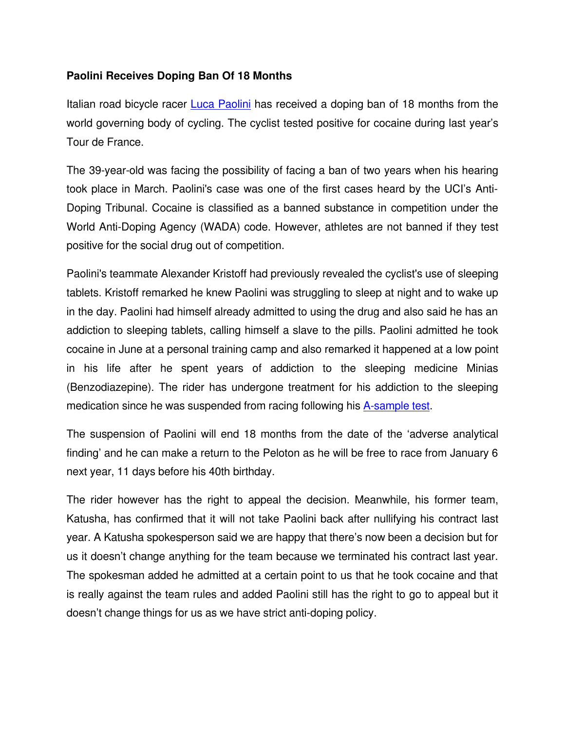## **Paolini Receives Doping Ban Of 18 Months**

Italian road bicycle racer **Luca Paolini** has received a doping ban of 18 months from the world governing body of cycling. The cyclist tested positive for cocaine during last year's Tour de France.

The 39-year-old was facing the possibility of facing a ban of two years when his hearing took place in March. Paolini's case was one of the first cases heard by the UCI's Anti-Doping Tribunal. Cocaine is classified as a banned substance in competition under the World Anti-Doping Agency (WADA) code. However, athletes are not banned if they test positive for the social drug out of competition.

Paolini's teammate Alexander Kristoff had previously revealed the cyclist's use of sleeping tablets. Kristoff remarked he knew Paolini was struggling to sleep at night and to wake up in the day. Paolini had himself already admitted to using the drug and also said he has an addiction to sleeping tablets, calling himself a slave to the pills. Paolini admitted he took cocaine in June at a personal training camp and also remarked it happened at a low point in his life after he spent years of addiction to the sleeping medicine Minias (Benzodiazepine). The rider has undergone treatment for his addiction to the sleeping medication since he was suspended from racing following his A-sample test.

The suspension of Paolini will end 18 months from the date of the 'adverse analytical finding' and he can make a return to the Peloton as he will be free to race from January 6 next year, 11 days before his 40th birthday.

The rider however has the right to appeal the decision. Meanwhile, his former team, Katusha, has confirmed that it will not take Paolini back after nullifying his contract last year. A Katusha spokesperson said we are happy that there's now been a decision but for us it doesn't change anything for the team because we terminated his contract last year. The spokesman added he admitted at a certain point to us that he took cocaine and that is really against the team rules and added Paolini still has the right to go to appeal but it doesn't change things for us as we have strict anti-doping policy.